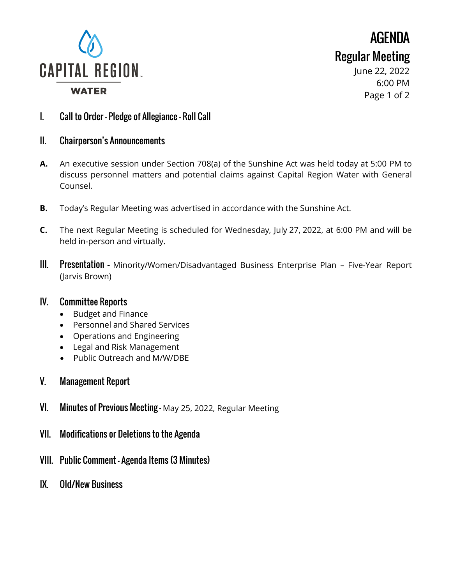

AGENDA Regular Meeting

> June 22, 2022 6:00 PM Page 1 of 2

- I. Call to Order Pledge of Allegiance Roll Call
- II. Chairperson's Announcements
- **A.** An executive session under Section 708(a) of the Sunshine Act was held today at 5:00 PM to discuss personnel matters and potential claims against Capital Region Water with General Counsel.
- **B.** Today's Regular Meeting was advertised in accordance with the Sunshine Act.
- **C.** The next Regular Meeting is scheduled for Wednesday, July 27, 2022, at 6:00 PM and will be held in-person and virtually.
- III. Presentation **–** Minority/Women/Disadvantaged Business Enterprise Plan Five-Year Report (Jarvis Brown)

## IV. Committee Reports

- Budget and Finance
- Personnel and Shared Services
- Operations and Engineering
- Legal and Risk Management
- Public Outreach and M/W/DBE
- V. Management Report
- VI. Minutes of Previous Meeting May 25, 2022, Regular Meeting
- VII. Modifications or Deletions to the Agenda
- VIII. Public Comment Agenda Items (3 Minutes)
- IX. Old/New Business